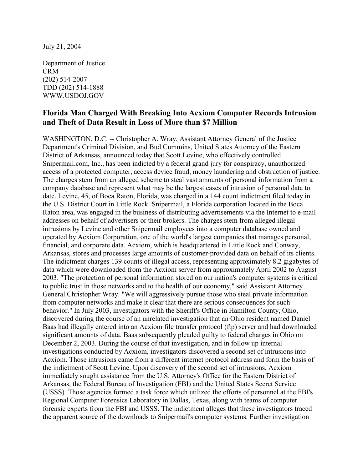July 21, 2004

Department of Justice CRM (202) 514-2007 TDD (202) 514-1888 WWW.USDOJ.GOV

## **Florida Man Charged With Breaking Into Acxiom Computer Records Intrusion and Theft of Data Result in Loss of More than \$7 Million**

WASHINGTON, D.C. -- Christopher A. Wray, Assistant Attorney General of the Justice Department's Criminal Division, and Bud Cummins, United States Attorney of the Eastern District of Arkansas, announced today that Scott Levine, who effectively controlled Snipermail.com, Inc., has been indicted by a federal grand jury for conspiracy, unauthorized access of a protected computer, access device fraud, money laundering and obstruction of justice. The charges stem from an alleged scheme to steal vast amounts of personal information from a company database and represent what may be the largest cases of intrusion of personal data to date. Levine, 45, of Boca Raton, Florida, was charged in a 144 count indictment filed today in the U.S. District Court in Little Rock. Snipermail, a Florida corporation located in the Boca Raton area, was engaged in the business of distributing advertisements via the Internet to e-mail addresses on behalf of advertisers or their brokers. The charges stem from alleged illegal intrusions by Levine and other Snipermail employees into a computer database owned and operated by Acxiom Corporation, one of the world's largest companies that manages personal, financial, and corporate data. Acxiom, which is headquartered in Little Rock and Conway, Arkansas, stores and processes large amounts of customer-provided data on behalf of its clients. The indictment charges 139 counts of illegal access, representing approximately 8.2 gigabytes of data which were downloaded from the Acxiom server from approximately April 2002 to August 2003. "The protection of personal information stored on our nation's computer systems is critical to public trust in those networks and to the health of our economy," said Assistant Attorney General Christopher Wray. "We will aggressively pursue those who steal private information from computer networks and make it clear that there are serious consequences for such behavior." In July 2003, investigators with the Sheriff's Office in Hamilton County, Ohio, discovered during the course of an unrelated investigation that an Ohio resident named Daniel Baas had illegally entered into an Acxiom file transfer protocol (ftp) server and had downloaded significant amounts of data. Baas subsequently pleaded guilty to federal charges in Ohio on December 2, 2003. During the course of that investigation, and in follow up internal investigations conducted by Acxiom, investigators discovered a second set of intrusions into Acxiom. Those intrusions came from a different internet protocol address and form the basis of the indictment of Scott Levine. Upon discovery of the second set of intrusions, Acxiom immediately sought assistance from the U.S. Attorney's Office for the Eastern District of Arkansas, the Federal Bureau of Investigation (FBI) and the United States Secret Service (USSS). Those agencies formed a task force which utilized the efforts of personnel at the FBI's Regional Computer Forensics Laboratory in Dallas, Texas, along with teams of computer forensic experts from the FBI and USSS. The indictment alleges that these investigators traced the apparent source of the downloads to Snipermail's computer systems. Further investigation